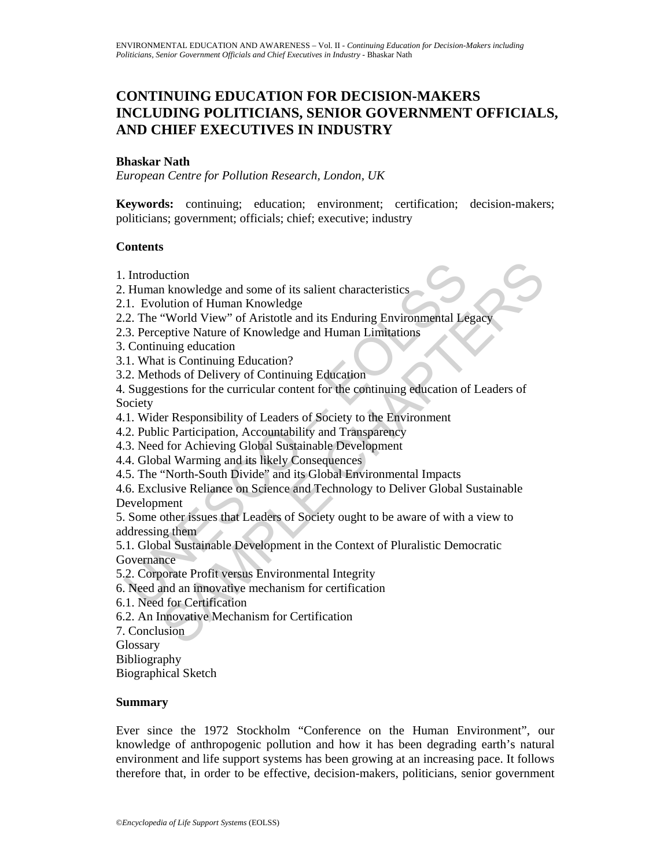# **CONTINUING EDUCATION FOR DECISION-MAKERS INCLUDING POLITICIANS, SENIOR GOVERNMENT OFFICIALS, AND CHIEF EXECUTIVES IN INDUSTRY**

# **Bhaskar Nath**

*European Centre for Pollution Research, London, UK* 

**Keywords:** continuing; education; environment; certification; decision-makers; politicians; government; officials; chief; executive; industry

# **Contents**

- 1. Introduction
- 2. Human knowledge and some of its salient characteristics
- 2.1. Evolution of Human Knowledge
- 2.2. The "World View" of Aristotle and its Enduring Environmental Legacy
- 2.3. Perceptive Nature of Knowledge and Human Limitations
- 3. Continuing education
- 3.1. What is Continuing Education?
- 3.2. Methods of Delivery of Continuing Education

Introduction<br>
I. Human knowledge and some of its salient characteristics<br>
1. Evolution of Human Knowledge<br>
2. The "World View" of Aristotle and its Enduring Environmental Le<br>
2. The "World View" of Aristotle and its Enduri uction<br>
In knowledge and some of its salient characteristics<br>
ulturo of Human Knowledge<br>
"World View" of Knistotle and its Enduring Environmental Legacy<br>
epitive Nature of Knowledge and Human Limitations<br>
uiting education<br> 4. Suggestions for the curricular content for the continuing education of Leaders of Society

- 4.1. Wider Responsibility of Leaders of Society to the Environment
- 4.2. Public Participation, Accountability and Transparency
- 4.3. Need for Achieving Global Sustainable Development
- 4.4. Global Warming and its likely Consequences
- 4.5. The "North-South Divide" and its Global Environmental Impacts
- 4.6. Exclusive Reliance on Science and Technology to Deliver Global Sustainable Development

5. Some other issues that Leaders of Society ought to be aware of with a view to addressing them

5.1. Global Sustainable Development in the Context of Pluralistic Democratic Governance

- 5.2. Corporate Profit versus Environmental Integrity
- 6. Need and an innovative mechanism for certification
- 6.1. Need for Certification
- 6.2. An Innovative Mechanism for Certification
- 7. Conclusion

**Glossary** 

Bibliography

Biographical Sketch

### **Summary**

Ever since the 1972 Stockholm "Conference on the Human Environment", our knowledge of anthropogenic pollution and how it has been degrading earth's natural environment and life support systems has been growing at an increasing pace. It follows therefore that, in order to be effective, decision-makers, politicians, senior government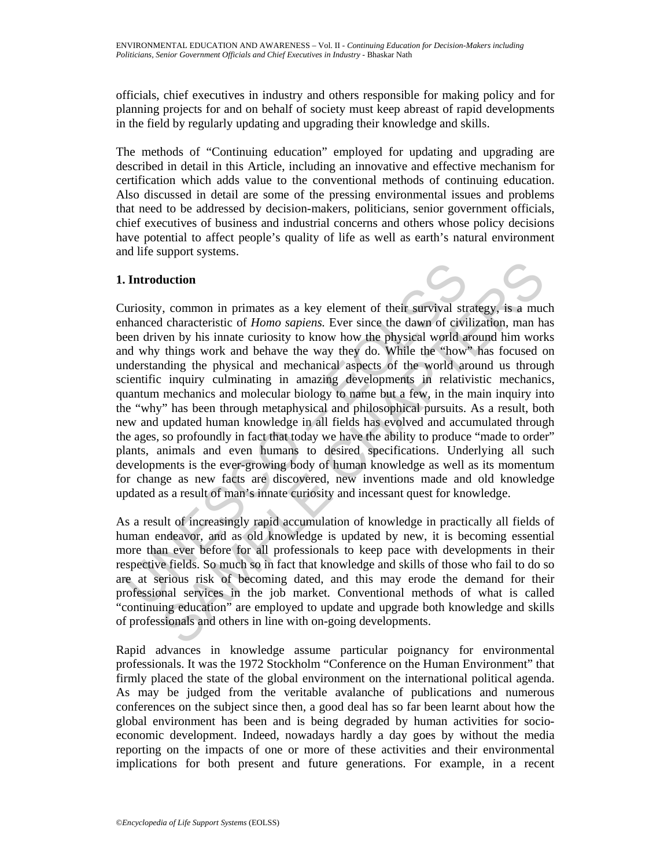officials, chief executives in industry and others responsible for making policy and for planning projects for and on behalf of society must keep abreast of rapid developments in the field by regularly updating and upgrading their knowledge and skills.

The methods of "Continuing education" employed for updating and upgrading are described in detail in this Article, including an innovative and effective mechanism for certification which adds value to the conventional methods of continuing education. Also discussed in detail are some of the pressing environmental issues and problems that need to be addressed by decision-makers, politicians, senior government officials, chief executives of business and industrial concerns and others whose policy decisions have potential to affect people's quality of life as well as earth's natural environment and life support systems.

# **1. Introduction**

**Introduction**<br>
uriosity, common in primates as a key element of their survival strahanced characteristic of *Homo sapiens*. Ever since the dawn of civice diviren driven by his innate curiosity to know how the physical wor **Alterion**<br> *A*, common in primates as a key element of their survival strategy, is a much characteristic of *Homo supiens*. Ever since the dawn of civilization, man halo chen by his innate curiosity to know how the physi Curiosity, common in primates as a key element of their survival strategy, is a much enhanced characteristic of *Homo sapiens.* Ever since the dawn of civilization, man has been driven by his innate curiosity to know how the physical world around him works and why things work and behave the way they do. While the "how" has focused on understanding the physical and mechanical aspects of the world around us through scientific inquiry culminating in amazing developments in relativistic mechanics, quantum mechanics and molecular biology to name but a few, in the main inquiry into the "why" has been through metaphysical and philosophical pursuits. As a result, both new and updated human knowledge in all fields has evolved and accumulated through the ages, so profoundly in fact that today we have the ability to produce "made to order" plants, animals and even humans to desired specifications. Underlying all such developments is the ever-growing body of human knowledge as well as its momentum for change as new facts are discovered, new inventions made and old knowledge updated as a result of man's innate curiosity and incessant quest for knowledge.

As a result of increasingly rapid accumulation of knowledge in practically all fields of human endeavor, and as old knowledge is updated by new, it is becoming essential more than ever before for all professionals to keep pace with developments in their respective fields. So much so in fact that knowledge and skills of those who fail to do so are at serious risk of becoming dated, and this may erode the demand for their professional services in the job market. Conventional methods of what is called "continuing education" are employed to update and upgrade both knowledge and skills of professionals and others in line with on-going developments.

Rapid advances in knowledge assume particular poignancy for environmental professionals. It was the 1972 Stockholm "Conference on the Human Environment" that firmly placed the state of the global environment on the international political agenda. As may be judged from the veritable avalanche of publications and numerous conferences on the subject since then, a good deal has so far been learnt about how the global environment has been and is being degraded by human activities for socioeconomic development. Indeed, nowadays hardly a day goes by without the media reporting on the impacts of one or more of these activities and their environmental implications for both present and future generations. For example, in a recent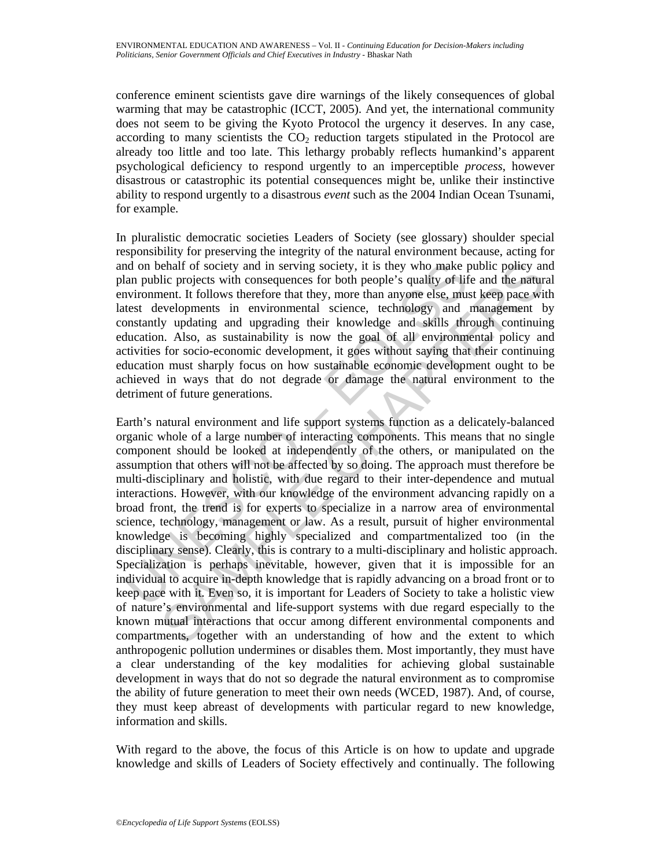conference eminent scientists gave dire warnings of the likely consequences of global warming that may be catastrophic (ICCT, 2005). And yet, the international community does not seem to be giving the Kyoto Protocol the urgency it deserves. In any case, according to many scientists the  $CO<sub>2</sub>$  reduction targets stipulated in the Protocol are already too little and too late. This lethargy probably reflects humankind's apparent psychological deficiency to respond urgently to an imperceptible *process*, however disastrous or catastrophic its potential consequences might be, unlike their instinctive ability to respond urgently to a disastrous *event* such as the 2004 Indian Ocean Tsunami, for example.

In pluralistic democratic societies Leaders of Society (see glossary) shoulder special responsibility for preserving the integrity of the natural environment because, acting for and on behalf of society and in serving society, it is they who make public policy and plan public projects with consequences for both people's quality of life and the natural environment. It follows therefore that they, more than anyone else, must keep pace with latest developments in environmental science, technology and management by constantly updating and upgrading their knowledge and skills through continuing education. Also, as sustainability is now the goal of all environmental policy and activities for socio-economic development, it goes without saying that their continuing education must sharply focus on how sustainable economic development ought to be achieved in ways that do not degrade or damage the natural environment to the detriment of future generations.

nd on behalf of society and in serving society, it is they who make plane public projects with consequences for both people's quality of life and they movimument. It follows therefore that they, more than anyone lese, must chalf of society and in serving society, it is they who make public policy an<br>lic projects with consequences for both people's quality of life and the nature<br>rent. It follows therefore that they, more than anyone else, mus Earth's natural environment and life support systems function as a delicately-balanced organic whole of a large number of interacting components. This means that no single component should be looked at independently of the others, or manipulated on the assumption that others will not be affected by so doing. The approach must therefore be multi-disciplinary and holistic, with due regard to their inter-dependence and mutual interactions. However, with our knowledge of the environment advancing rapidly on a broad front, the trend is for experts to specialize in a narrow area of environmental science, technology, management or law. As a result, pursuit of higher environmental knowledge is becoming highly specialized and compartmentalized too (in the disciplinary sense). Clearly, this is contrary to a multi-disciplinary and holistic approach. Specialization is perhaps inevitable, however, given that it is impossible for an individual to acquire in-depth knowledge that is rapidly advancing on a broad front or to keep pace with it. Even so, it is important for Leaders of Society to take a holistic view of nature's environmental and life-support systems with due regard especially to the known mutual interactions that occur among different environmental components and compartments, together with an understanding of how and the extent to which anthropogenic pollution undermines or disables them. Most importantly, they must have a clear understanding of the key modalities for achieving global sustainable development in ways that do not so degrade the natural environment as to compromise the ability of future generation to meet their own needs (WCED, 1987). And, of course, they must keep abreast of developments with particular regard to new knowledge, information and skills.

With regard to the above, the focus of this Article is on how to update and upgrade knowledge and skills of Leaders of Society effectively and continually. The following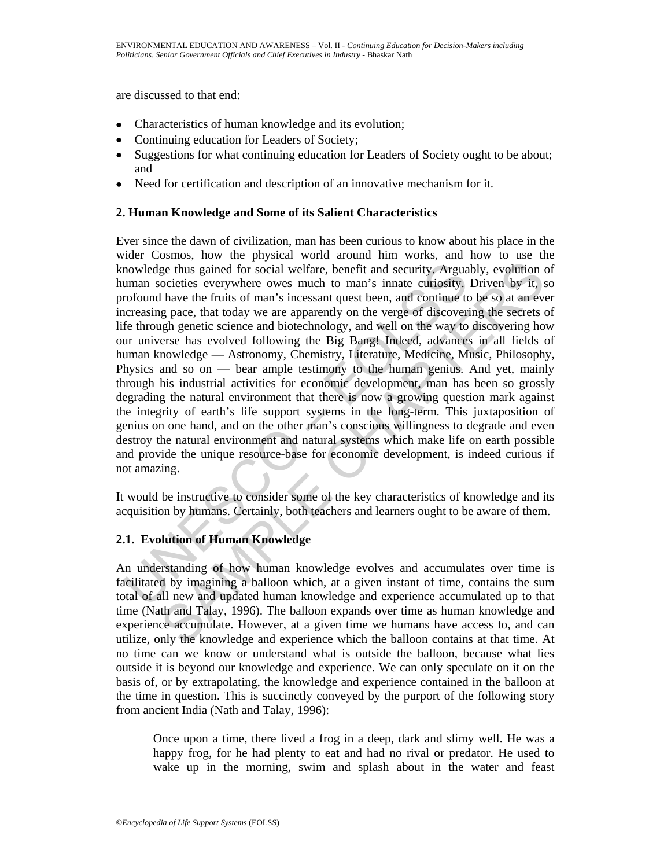are discussed to that end:

- Characteristics of human knowledge and its evolution;
- Continuing education for Leaders of Society;
- Suggestions for what continuing education for Leaders of Society ought to be about; and
- Need for certification and description of an innovative mechanism for it.

# **2. Human Knowledge and Some of its Salient Characteristics**

mowledge thus gained for social welfare, benefit and security. Argua<br>
mman societies everywhere owes much to man's innate curiosity.<br>
crofound have the fruits of man's incessant quest been, and continue to<br>
crceasing pace, ge thus gained for social welfare, benefit and security, Arguably, evolution cocieties everywhere owes much to man's innate curiosity. Driven by it, s have the fruits of man's incessant quest been, and continue to be so at Ever since the dawn of civilization, man has been curious to know about his place in the wider Cosmos, how the physical world around him works, and how to use the knowledge thus gained for social welfare, benefit and security. Arguably, evolution of human societies everywhere owes much to man's innate curiosity. Driven by it, so profound have the fruits of man's incessant quest been, and continue to be so at an ever increasing pace, that today we are apparently on the verge of discovering the secrets of life through genetic science and biotechnology, and well on the way to discovering how our universe has evolved following the Big Bang! Indeed, advances in all fields of human knowledge — Astronomy, Chemistry, Literature, Medicine, Music, Philosophy, Physics and so on — bear ample testimony to the human genius. And yet, mainly through his industrial activities for economic development, man has been so grossly degrading the natural environment that there is now a growing question mark against the integrity of earth's life support systems in the long-term. This juxtaposition of genius on one hand, and on the other man's conscious willingness to degrade and even destroy the natural environment and natural systems which make life on earth possible and provide the unique resource-base for economic development, is indeed curious if not amazing.

It would be instructive to consider some of the key characteristics of knowledge and its acquisition by humans. Certainly, both teachers and learners ought to be aware of them.

# **2.1. Evolution of Human Knowledge**

An understanding of how human knowledge evolves and accumulates over time is facilitated by imagining a balloon which, at a given instant of time, contains the sum total of all new and updated human knowledge and experience accumulated up to that time (Nath and Talay, 1996). The balloon expands over time as human knowledge and experience accumulate. However, at a given time we humans have access to, and can utilize, only the knowledge and experience which the balloon contains at that time. At no time can we know or understand what is outside the balloon, because what lies outside it is beyond our knowledge and experience. We can only speculate on it on the basis of, or by extrapolating, the knowledge and experience contained in the balloon at the time in question. This is succinctly conveyed by the purport of the following story from ancient India (Nath and Talay, 1996):

Once upon a time, there lived a frog in a deep, dark and slimy well. He was a happy frog, for he had plenty to eat and had no rival or predator. He used to wake up in the morning, swim and splash about in the water and feast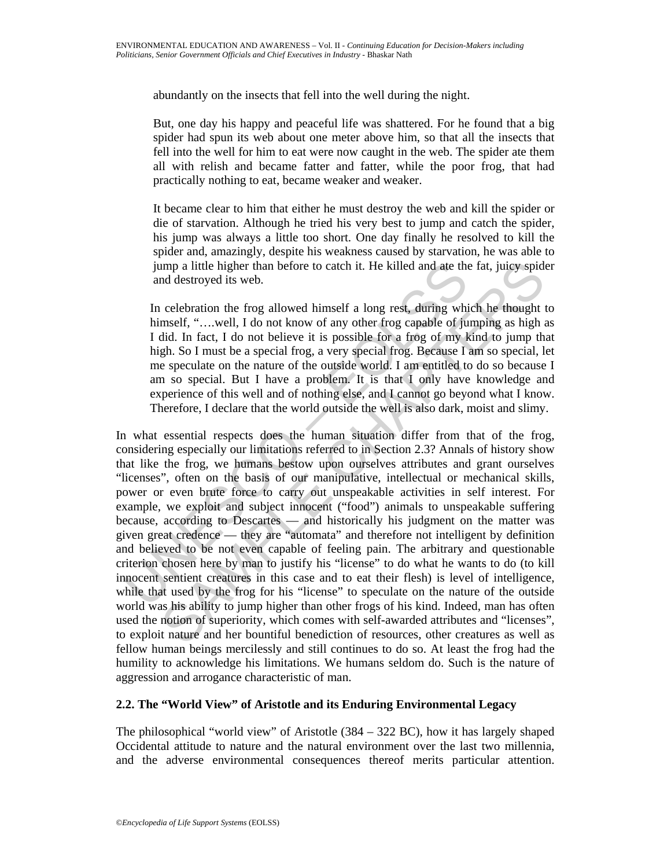abundantly on the insects that fell into the well during the night.

But, one day his happy and peaceful life was shattered. For he found that a big spider had spun its web about one meter above him, so that all the insects that fell into the well for him to eat were now caught in the web. The spider ate them all with relish and became fatter and fatter, while the poor frog, that had practically nothing to eat, became weaker and weaker.

It became clear to him that either he must destroy the web and kill the spider or die of starvation. Although he tried his very best to jump and catch the spider, his jump was always a little too short. One day finally he resolved to kill the spider and, amazingly, despite his weakness caused by starvation, he was able to jump a little higher than before to catch it. He killed and ate the fat, juicy spider and destroyed its web.

In celebration the frog allowed himself a long rest, during which he thought to himself, "....well, I do not know of any other frog capable of jumping as high as I did. In fact, I do not believe it is possible for a frog of my kind to jump that high. So I must be a special frog, a very special frog. Because I am so special, let me speculate on the nature of the outside world. I am entitled to do so because I am so special. But I have a problem. It is that I only have knowledge and experience of this well and of nothing else, and I cannot go beyond what I know. Therefore, I declare that the world outside the well is also dark, moist and slimy.

jump a little higher than before to catch it. He killed and ate the<br>and destroyed its web.<br>In celebration the frog allowed himself a long rest, during whi<br>himself, "....well, I do not know of any other frog capable of ju<br> mp a little higher than before to catch it. He killed and ate the fat, juicy spided destroyed its web.<br>
celebration the frog allowed himself a long rest, during which he thought the mentelf, "....well, I do not know of an In what essential respects does the human situation differ from that of the frog, considering especially our limitations referred to in Section 2.3? Annals of history show that like the frog, we humans bestow upon ourselves attributes and grant ourselves "licenses", often on the basis of our manipulative, intellectual or mechanical skills, power or even brute force to carry out unspeakable activities in self interest. For example, we exploit and subject innocent ("food") animals to unspeakable suffering because, according to Descartes — and historically his judgment on the matter was given great credence — they are "automata" and therefore not intelligent by definition and believed to be not even capable of feeling pain. The arbitrary and questionable criterion chosen here by man to justify his "license" to do what he wants to do (to kill innocent sentient creatures in this case and to eat their flesh) is level of intelligence, while that used by the frog for his "license" to speculate on the nature of the outside world was his ability to jump higher than other frogs of his kind. Indeed, man has often used the notion of superiority, which comes with self-awarded attributes and "licenses", to exploit nature and her bountiful benediction of resources, other creatures as well as fellow human beings mercilessly and still continues to do so. At least the frog had the humility to acknowledge his limitations. We humans seldom do. Such is the nature of aggression and arrogance characteristic of man.

# **2.2. The "World View" of Aristotle and its Enduring Environmental Legacy**

The philosophical "world view" of Aristotle  $(384 – 322 BC)$ , how it has largely shaped Occidental attitude to nature and the natural environment over the last two millennia, and the adverse environmental consequences thereof merits particular attention.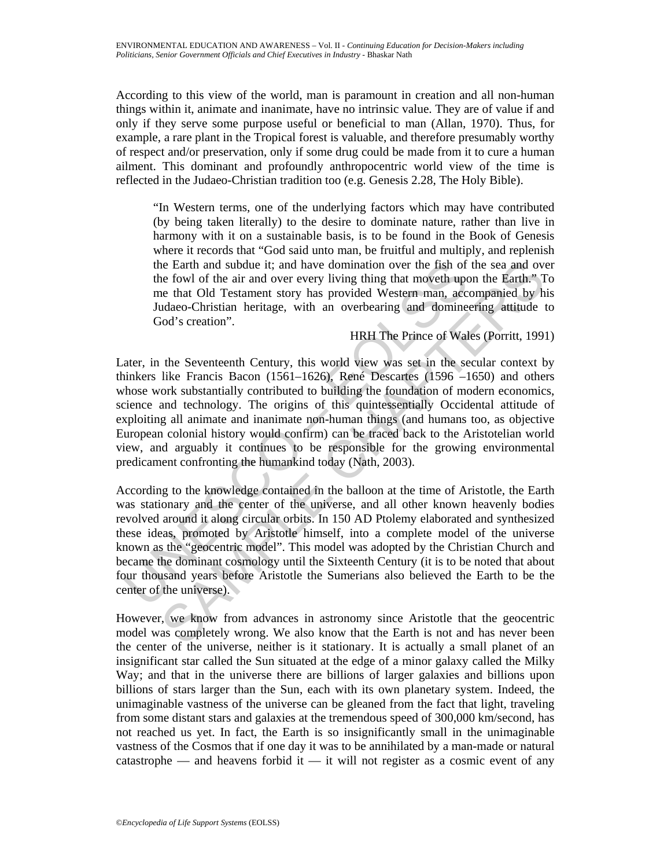According to this view of the world, man is paramount in creation and all non-human things within it, animate and inanimate, have no intrinsic value. They are of value if and only if they serve some purpose useful or beneficial to man (Allan, 1970). Thus, for example, a rare plant in the Tropical forest is valuable, and therefore presumably worthy of respect and/or preservation, only if some drug could be made from it to cure a human ailment. This dominant and profoundly anthropocentric world view of the time is reflected in the Judaeo-Christian tradition too (e.g. Genesis 2.28, The Holy Bible).

"In Western terms, one of the underlying factors which may have contributed (by being taken literally) to the desire to dominate nature, rather than live in harmony with it on a sustainable basis, is to be found in the Book of Genesis where it records that "God said unto man, be fruitful and multiply, and replenish the Earth and subdue it; and have domination over the fish of the sea and over the fowl of the air and over every living thing that moveth upon the Earth." To me that Old Testament story has provided Western man, accompanied by his Judaeo-Christian heritage, with an overbearing and domineering attitude to God's creation".

# HRH The Prince of Wales (Porritt, 1991)

the Earth and subdue it; and have domination over the fish of<br>the fowl of the air and over every living thing that moveth upon<br>me that OId Testament story has provided Western and, acc<br>Judaeo-Christian heritage, with an ov is example in an oubline it; and have domination over the fish of the sea and over<br>the four and over very living thing that moveths upon the Earth." The test that of the air and over the full of Testament story has provide Later, in the Seventeenth Century, this world view was set in the secular context by thinkers like Francis Bacon (1561–1626), René Descartes (1596 –1650) and others whose work substantially contributed to building the foundation of modern economics, science and technology. The origins of this quintessentially Occidental attitude of exploiting all animate and inanimate non-human things (and humans too, as objective European colonial history would confirm) can be traced back to the Aristotelian world view, and arguably it continues to be responsible for the growing environmental predicament confronting the humankind today (Nath, 2003).

According to the knowledge contained in the balloon at the time of Aristotle, the Earth was stationary and the center of the universe, and all other known heavenly bodies revolved around it along circular orbits. In 150 AD Ptolemy elaborated and synthesized these ideas, promoted by Aristotle himself, into a complete model of the universe known as the "geocentric model". This model was adopted by the Christian Church and became the dominant cosmology until the Sixteenth Century (it is to be noted that about four thousand years before Aristotle the Sumerians also believed the Earth to be the center of the universe).

However, we know from advances in astronomy since Aristotle that the geocentric model was completely wrong. We also know that the Earth is not and has never been the center of the universe, neither is it stationary. It is actually a small planet of an insignificant star called the Sun situated at the edge of a minor galaxy called the Milky Way; and that in the universe there are billions of larger galaxies and billions upon billions of stars larger than the Sun, each with its own planetary system. Indeed, the unimaginable vastness of the universe can be gleaned from the fact that light, traveling from some distant stars and galaxies at the tremendous speed of 300,000 km/second, has not reached us yet. In fact, the Earth is so insignificantly small in the unimaginable vastness of the Cosmos that if one day it was to be annihilated by a man-made or natural catastrophe — and heavens forbid it — it will not register as a cosmic event of any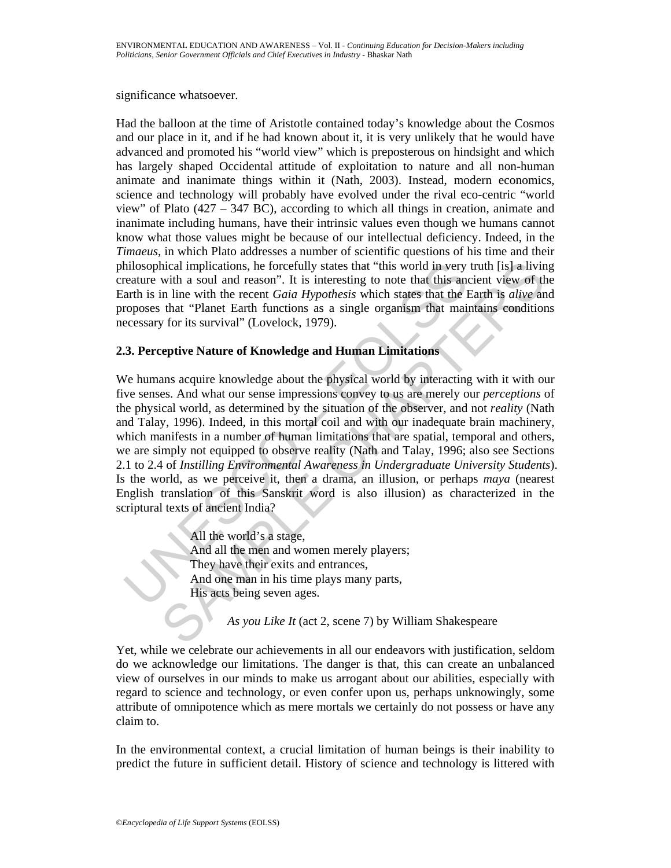significance whatsoever.

Had the balloon at the time of Aristotle contained today's knowledge about the Cosmos and our place in it, and if he had known about it, it is very unlikely that he would have advanced and promoted his "world view" which is preposterous on hindsight and which has largely shaped Occidental attitude of exploitation to nature and all non-human animate and inanimate things within it (Nath, 2003). Instead, modern economics, science and technology will probably have evolved under the rival eco-centric "world view" of Plato (427 – 347 BC), according to which all things in creation, animate and inanimate including humans, have their intrinsic values even though we humans cannot know what those values might be because of our intellectual deficiency. Indeed, in the *Timaeus*, in which Plato addresses a number of scientific questions of his time and their philosophical implications, he forcefully states that "this world in very truth [is] a living creature with a soul and reason". It is interesting to note that this ancient view of the Earth is in line with the recent *Gaia Hypothesis* which states that the Earth is *alive* and proposes that "Planet Earth functions as a single organism that maintains conditions necessary for its survival" (Lovelock, 1979).

# **2.3. Perceptive Nature of Knowledge and Human Limitations**

matter with a soul and reason." It is interesting to note that this world in very<br>reature with a soul and reason". It is interesting to note that this and<br>the sin line with the recent *Gaia Hypothesis* which states that th mical implications, he forcefully states that "this world in very truth [is] a livin<br>with a soul and reason". It is interesting to note that this ancient view of th<br>in line with the recent Gaia Hypothesis which states tha We humans acquire knowledge about the physical world by interacting with it with our five senses. And what our sense impressions convey to us are merely our *perceptions* of the physical world, as determined by the situation of the observer, and not *reality* (Nath and Talay, 1996). Indeed, in this mortal coil and with our inadequate brain machinery, which manifests in a number of human limitations that are spatial, temporal and others, we are simply not equipped to observe reality (Nath and Talay, 1996; also see Sections 2.1 to 2.4 of *Instilling Environmental Awareness in Undergraduate University Students*). Is the world, as we perceive it, then a drama, an illusion, or perhaps *maya* (nearest English translation of this Sanskrit word is also illusion) as characterized in the scriptural texts of ancient India?

 All the world's a stage, And all the men and women merely players; They have their exits and entrances, And one man in his time plays many parts, His acts being seven ages.

*As you Like It* (act 2, scene 7) by William Shakespeare

Yet, while we celebrate our achievements in all our endeavors with justification, seldom do we acknowledge our limitations. The danger is that, this can create an unbalanced view of ourselves in our minds to make us arrogant about our abilities, especially with regard to science and technology, or even confer upon us, perhaps unknowingly, some attribute of omnipotence which as mere mortals we certainly do not possess or have any claim to.

In the environmental context, a crucial limitation of human beings is their inability to predict the future in sufficient detail. History of science and technology is littered with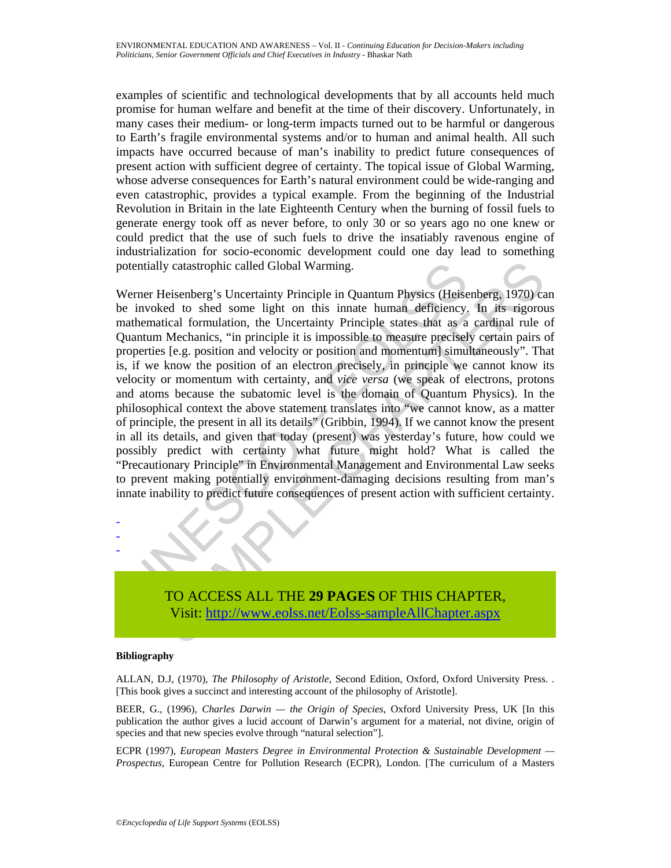examples of scientific and technological developments that by all accounts held much promise for human welfare and benefit at the time of their discovery. Unfortunately, in many cases their medium- or long-term impacts turned out to be harmful or dangerous to Earth's fragile environmental systems and/or to human and animal health. All such impacts have occurred because of man's inability to predict future consequences of present action with sufficient degree of certainty. The topical issue of Global Warming, whose adverse consequences for Earth's natural environment could be wide-ranging and even catastrophic, provides a typical example. From the beginning of the Industrial Revolution in Britain in the late Eighteenth Century when the burning of fossil fuels to generate energy took off as never before, to only 30 or so years ago no one knew or could predict that the use of such fuels to drive the insatiably ravenous engine of industrialization for socio-economic development could one day lead to something potentially catastrophic called Global Warming.

otentially catastrophic called Global Warming.<br>
Verner Heisenberg's Uncertainty Principle in Quantum Physics (Heisenberg's Uncertainty Principle in Quantum Physics (Heisenberg)<br>
in whether invoked to shed some light on thi ly catastrophic called Global Warming.<br>
Heisenberg's Uncertainty Principle in Quantum Physics (Heisenberg, 1970) ca<br>
ed to shed some light on this innate human deficiency. In its rigorot<br>
tical formulation, the Uncertainty Werner Heisenberg's Uncertainty Principle in Quantum Physics (Heisenberg, 1970) can be invoked to shed some light on this innate human deficiency. In its rigorous mathematical formulation, the Uncertainty Principle states that as a cardinal rule of Quantum Mechanics, "in principle it is impossible to measure precisely certain pairs of properties [e.g. position and velocity or position and momentum] simultaneously". That is, if we know the position of an electron precisely, in principle we cannot know its velocity or momentum with certainty, and *vice versa* (we speak of electrons, protons and atoms because the subatomic level is the domain of Quantum Physics). In the philosophical context the above statement translates into "we cannot know, as a matter of principle, the present in all its details" (Gribbin, 1994). If we cannot know the present in all its details, and given that today (present) was yesterday's future, how could we possibly predict with certainty what future might hold? What is called the "Precautionary Principle" in Environmental Management and Environmental Law seeks to prevent making potentially environment-damaging decisions resulting from man's innate inability to predict future consequences of present action with sufficient certainty.



#### **Bibliography**

- - -

ALLAN, D.J, (1970), *The Philosophy of Aristotle*, Second Edition, Oxford, Oxford University Press. . [This book gives a succinct and interesting account of the philosophy of Aristotle].

BEER, G., (1996), *Charles Darwin — the Origin of Species*, Oxford University Press, UK [In this publication the author gives a lucid account of Darwin's argument for a material, not divine, origin of species and that new species evolve through "natural selection"].

ECPR (1997), *European Masters Degree in Environmental Protection & Sustainable Development — Prospectus*, European Centre for Pollution Research (ECPR), London. [The curriculum of a Masters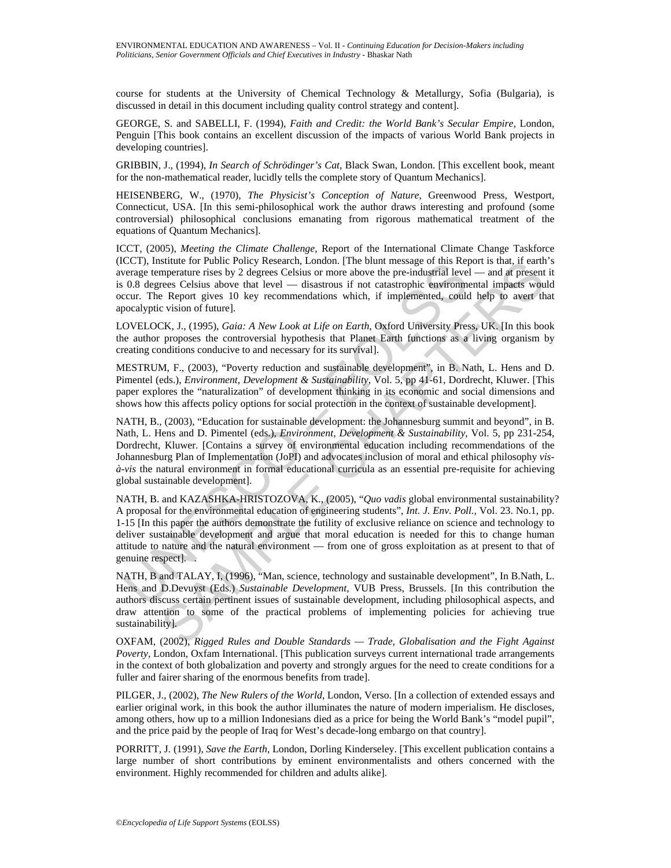course for students at the University of Chemical Technology & Metallurgy, Sofia (Bulgaria), is discussed in detail in this document including quality control strategy and content].

GEORGE, S. and SABELLI, F. (1994), *Faith and Credit: the World Bank's Secular Empire*, London, Penguin [This book contains an excellent discussion of the impacts of various World Bank projects in developing countries].

GRIBBIN, J., (1994), *In Search of Schrödinger's Cat*, Black Swan, London. [This excellent book, meant for the non-mathematical reader, lucidly tells the complete story of Quantum Mechanics].

HEISENBERG, W., (1970), *The Physicist's Conception of Nature*, Greenwood Press, Westport, Connecticut, USA. [In this semi-philosophical work the author draws interesting and profound (some controversial) philosophical conclusions emanating from rigorous mathematical treatment of the equations of Quantum Mechanics].

ICCT, (2005), *Meeting the Climate Challenge*, Report of the International Climate Change Taskforce (ICCT), Institute for Public Policy Research, London. [The blunt message of this Report is that, if earth's average temperature rises by 2 degrees Celsius or more above the pre-industrial level — and at present it is 0.8 degrees Celsius above that level — disastrous if not catastrophic environmental impacts would occur. The Report gives 10 key recommendations which, if implemented, could help to avert that apocalyptic vision of future].

LOVELOCK, J., (1995), *Gaia: A New Look at Life on Earth*, Oxford University Press, UK. [In this book the author proposes the controversial hypothesis that Planet Earth functions as a living organism by creating conditions conducive to and necessary for its survival].

MESTRUM, F., (2003), "Poverty reduction and sustainable development", in B. Nath, L. Hens and D. Pimentel (eds.), *Environment, Development & Sustainability*, Vol. 5, pp 41-61, Dordrecht, Kluwer. [This paper explores the "naturalization" of development thinking in its economic and social dimensions and shows how this affects policy options for social protection in the context of sustainable development].

NATH, B., (2003), "Education for sustainable development: the Johannesburg summit and beyond", in B. Nath, L. Hens and D. Pimentel (eds.), *Environment, Development & Sustainability*, Vol. 5, pp 231-254, Dordrecht, Kluwer. [Contains a survey of environmental education including recommendations of the Johannesburg Plan of Implementation (JoPI) and advocates inclusion of moral and ethical philosophy *visà-vis* the natural environment in formal educational curricula as an essential pre-requisite for achieving global sustainable development].

CC1), misture for viene Poince Poince Conton. (1ne but message of this Kepter<br>everage temperature rises by 2 degrees Celsius or more above the pre-industrial leve<br>0.8 degrees Celsius above that level — disastrous if not c stitute for Public Policy Research, London. [The bitut message of this Report is that, it earth<br>numerature rises by 2 degrees Celsius or more above the pre-industrial level — and at present<br>merature rises by 2 degrees Cel NATH, B. and KAZASHKA-HRISTOZOVA, K., (2005), "*Quo vadis* global environmental sustainability? A proposal for the environmental education of engineering students", *Int. J. Env. Poll.,* Vol. 23. No.1, pp. 1-15 [In this paper the authors demonstrate the futility of exclusive reliance on science and technology to deliver sustainable development and argue that moral education is needed for this to change human attitude to nature and the natural environment — from one of gross exploitation as at present to that of genuine respect]. .

NATH, B and TALAY, I, (1996), "Man, science, technology and sustainable development", In B.Nath, L. Hens and D.Devuyst (Eds.) *Sustainable Development*, VUB Press, Brussels. [In this contribution the authors discuss certain pertinent issues of sustainable development, including philosophical aspects, and draw attention to some of the practical problems of implementing policies for achieving true sustainability].

OXFAM, (2002), *Rigged Rules and Double Standards — Trade, Globalisation and the Fight Against Poverty*, London, Oxfam International. [This publication surveys current international trade arrangements in the context of both globalization and poverty and strongly argues for the need to create conditions for a fuller and fairer sharing of the enormous benefits from trade].

PILGER, J., (2002), *The New Rulers of the World*, London, Verso. [In a collection of extended essays and earlier original work, in this book the author illuminates the nature of modern imperialism. He discloses, among others, how up to a million Indonesians died as a price for being the World Bank's "model pupil", and the price paid by the people of Iraq for West's decade-long embargo on that country].

PORRITT, J. (1991), *Save the Earth*, London, Dorling Kinderseley. [This excellent publication contains a large number of short contributions by eminent environmentalists and others concerned with the environment. Highly recommended for children and adults alike].